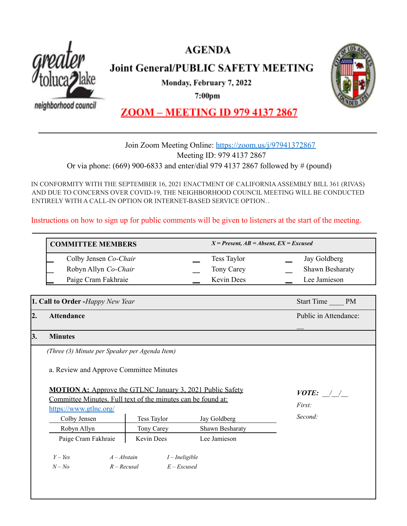

# **AGENDA**

**Joint General/PUBLIC SAFETY MEETING** 

Monday, February 7, 2022

 $7:00<sub>pm</sub>$ 

neighborhood council



## **ZOOM - MEETING ID 979 4137 2867**

## Join Zoom Meeting Online: <https://zoom.us/j/97941372867> Meeting ID: 979 4137 2867 Or via phone: (669) 900-6833 and enter/dial 979 4137 2867 followed by # (pound)

IN CONFORMITY WITH THE SEPTEMBER 16, 2021 ENACTMENT OF CALIFORNIAASSEMBLY BILL 361 (RIVAS) AND DUE TO CONCERNS OVER COVID-19, THE NEIGHBORHOOD COUNCIL MEETING WILL BE CONDUCTED ENTIRELY WITH A CALL-IN OPTION OR INTERNET-BASED SERVICE OPTION. .

Instructions on how to sign up for public comments will be given to listeners at the start of the meeting.

| <b>COMMITTEE MEMBERS</b> |                    | $X = Present, AB = Absent, EX = Excused$ |  |
|--------------------------|--------------------|------------------------------------------|--|
| Colby Jensen Co-Chair    | <b>Tess Taylor</b> | Jay Goldberg                             |  |
| Robyn Allyn Co-Chair     | <b>Tony Carey</b>  | <b>Shawn Besharaty</b>                   |  |
| Paige Cram Fakhraie      | <b>Kevin Dees</b>  | Lee Jamieson                             |  |

**1. Call to Order -***Happy New Year* Start Time  $\blacksquare$  PM **2. Attendance** Public in Attendance:  $\overline{\phantom{a}}$ **3. Minutes** *(Three (3) Minute per Speaker per Agenda Item)* a. Review and Approve Committee Minutes **MOTION A:** Approve the GTLNC January 3, 2021 Public Safety Committee Minutes. Full text of the minutes can be found at: <https://www.gtlnc.org/> Colby Jensen Tess Taylor Jay Goldberg Robyn Allyn Tony Carey Shawn Besharaty Paige Cram Fakhraie | Kevin Dees Lee Jamieson *Y – Yes A – Abstain I – Ineligible N – No R – Recusal E – Excused VOTE: \_\_/\_\_/\_\_ First: Second:*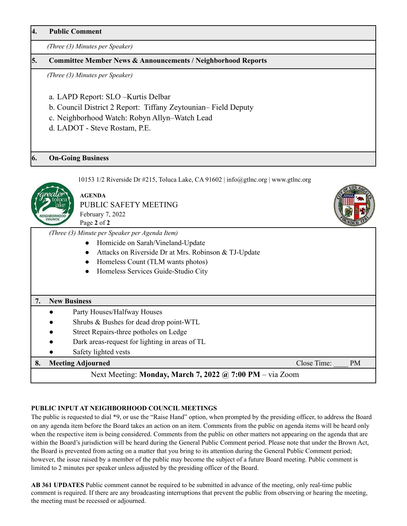**4. Public Comment**

*(Three (3) Minutes per Speaker)*

## **5. Committee Member News & Announcements / Neighborhood Reports**

*(Three (3) Minutes per Speaker)*

- a. LAPD Report: SLO –Kurtis Delbar
- b. Council District 2 Report: Tiffany Zeytounian– Field Deputy
- c. Neighborhood Watch: Robyn Allyn–Watch Lead
- d. LADOT Steve Rostam, P.E.

**AGENDA**

## **6. On-Going Business**



10153 1/2 Riverside Dr  $\#215$ , Toluca Lake, CA 91602 | info@gtlnc.org | www.gtlnc.org

PUBLIC SAFETY MEETING February 7, 2022 Page **2** of **2**

*(Three (3) Minute per Speaker per Agenda Item)*

- Homicide on Sarah/Vineland-Update
- Attacks on Riverside Dr at Mrs. Robinson & TJ-Update
- Homeless Count (TLM wants photos)
- Homeless Services Guide-Studio City

## **7. New Business**

- Party Houses/Halfway Houses
- Shrubs  $&$  Bushes for dead drop point-WTL
- Street Repairs-three potholes on Ledge
- Dark areas-request for lighting in areas of TL
- Safety lighted vests

## **8. Meeting Adjourned Close Time:**  $\bullet$  PM

## Next Meeting: **Monday, March 7, 2022 @ 7:00 PM** – via Zoom

## **PUBLIC INPUT AT NEIGHBORHOOD COUNCIL MEETINGS**

The public is requested to dial \*9, or use the "Raise Hand" option, when prompted by the presiding officer, to address the Board on any agenda item before the Board takes an action on an item. Comments from the public on agenda items will be heard only when the respective item is being considered. Comments from the public on other matters not appearing on the agenda that are within the Board's jurisdiction will be heard during the General Public Comment period. Please note that under the Brown Act, the Board is prevented from acting on a matter that you bring to its attention during the General Public Comment period; however, the issue raised by a member of the public may become the subject of a future Board meeting. Public comment is limited to 2 minutes per speaker unless adjusted by the presiding officer of the Board.

**AB 361 UPDATES** Public comment cannot be required to be submitted in advance of the meeting, only real-time public comment is required. If there are any broadcasting interruptions that prevent the public from observing or hearing the meeting, the meeting must be recessed or adjourned.